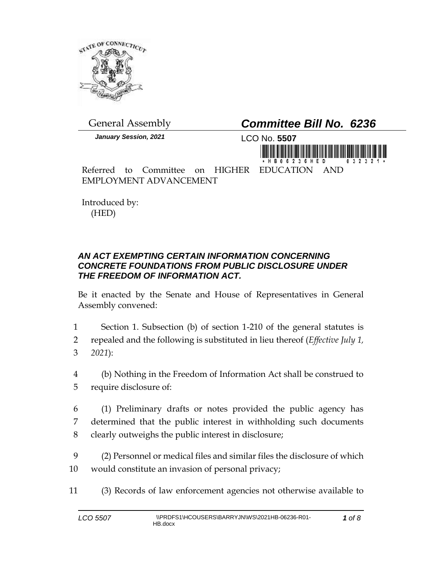

*January Session, 2021* LCO No. **5507**

General Assembly *Committee Bill No. 6236* 



Referred to Committee on HIGHER EDUCATION AND EMPLOYMENT ADVANCEMENT

Introduced by: (HED)

## *AN ACT EXEMPTING CERTAIN INFORMATION CONCERNING CONCRETE FOUNDATIONS FROM PUBLIC DISCLOSURE UNDER THE FREEDOM OF INFORMATION ACT.*

Be it enacted by the Senate and House of Representatives in General Assembly convened:

- 1 Section 1. Subsection (b) of section 1-210 of the general statutes is 2 repealed and the following is substituted in lieu thereof (*Effective July 1,*  3 *2021*):
- 4 (b) Nothing in the Freedom of Information Act shall be construed to 5 require disclosure of:
- 6 (1) Preliminary drafts or notes provided the public agency has 7 determined that the public interest in withholding such documents 8 clearly outweighs the public interest in disclosure;
- 9 (2) Personnel or medical files and similar files the disclosure of which 10 would constitute an invasion of personal privacy;
- 11 (3) Records of law enforcement agencies not otherwise available to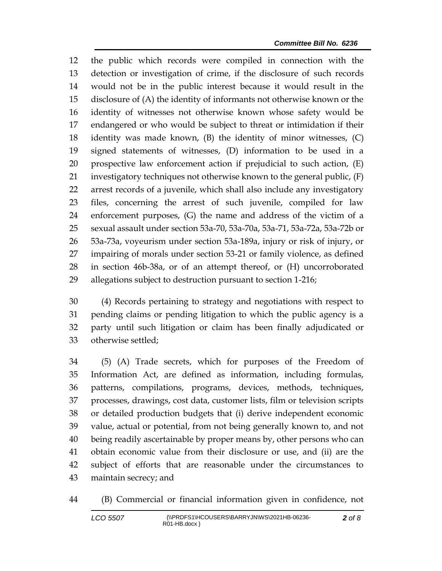the public which records were compiled in connection with the detection or investigation of crime, if the disclosure of such records would not be in the public interest because it would result in the disclosure of (A) the identity of informants not otherwise known or the identity of witnesses not otherwise known whose safety would be endangered or who would be subject to threat or intimidation if their identity was made known, (B) the identity of minor witnesses, (C) signed statements of witnesses, (D) information to be used in a prospective law enforcement action if prejudicial to such action, (E) investigatory techniques not otherwise known to the general public, (F) arrest records of a juvenile, which shall also include any investigatory files, concerning the arrest of such juvenile, compiled for law enforcement purposes, (G) the name and address of the victim of a sexual assault under section 53a-70, 53a-70a, 53a-71, 53a-72a, 53a-72b or 53a-73a, voyeurism under section 53a-189a, injury or risk of injury, or impairing of morals under section 53-21 or family violence, as defined in section 46b-38a, or of an attempt thereof, or (H) uncorroborated allegations subject to destruction pursuant to section 1-216;

 (4) Records pertaining to strategy and negotiations with respect to pending claims or pending litigation to which the public agency is a party until such litigation or claim has been finally adjudicated or otherwise settled;

 (5) (A) Trade secrets, which for purposes of the Freedom of Information Act, are defined as information, including formulas, patterns, compilations, programs, devices, methods, techniques, processes, drawings, cost data, customer lists, film or television scripts or detailed production budgets that (i) derive independent economic value, actual or potential, from not being generally known to, and not being readily ascertainable by proper means by, other persons who can obtain economic value from their disclosure or use, and (ii) are the subject of efforts that are reasonable under the circumstances to maintain secrecy; and

(B) Commercial or financial information given in confidence, not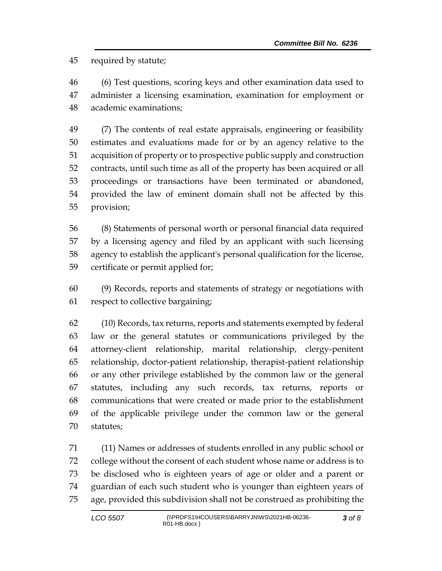required by statute;

 (6) Test questions, scoring keys and other examination data used to administer a licensing examination, examination for employment or academic examinations;

 (7) The contents of real estate appraisals, engineering or feasibility estimates and evaluations made for or by an agency relative to the acquisition of property or to prospective public supply and construction contracts, until such time as all of the property has been acquired or all proceedings or transactions have been terminated or abandoned, provided the law of eminent domain shall not be affected by this provision;

 (8) Statements of personal worth or personal financial data required by a licensing agency and filed by an applicant with such licensing agency to establish the applicant's personal qualification for the license, certificate or permit applied for;

 (9) Records, reports and statements of strategy or negotiations with respect to collective bargaining;

 (10) Records, tax returns, reports and statements exempted by federal law or the general statutes or communications privileged by the attorney-client relationship, marital relationship, clergy-penitent relationship, doctor-patient relationship, therapist-patient relationship or any other privilege established by the common law or the general statutes, including any such records, tax returns, reports or communications that were created or made prior to the establishment of the applicable privilege under the common law or the general statutes;

 (11) Names or addresses of students enrolled in any public school or college without the consent of each student whose name or address is to be disclosed who is eighteen years of age or older and a parent or guardian of each such student who is younger than eighteen years of age, provided this subdivision shall not be construed as prohibiting the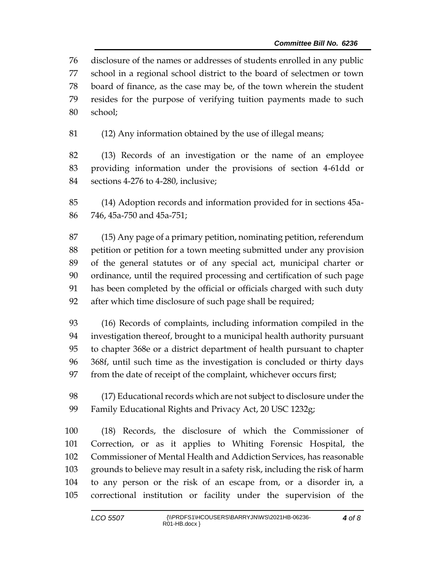disclosure of the names or addresses of students enrolled in any public school in a regional school district to the board of selectmen or town board of finance, as the case may be, of the town wherein the student resides for the purpose of verifying tuition payments made to such school;

(12) Any information obtained by the use of illegal means;

 (13) Records of an investigation or the name of an employee providing information under the provisions of section 4-61dd or sections 4-276 to 4-280, inclusive;

 (14) Adoption records and information provided for in sections 45a-746, 45a-750 and 45a-751;

 (15) Any page of a primary petition, nominating petition, referendum petition or petition for a town meeting submitted under any provision of the general statutes or of any special act, municipal charter or ordinance, until the required processing and certification of such page has been completed by the official or officials charged with such duty after which time disclosure of such page shall be required;

 (16) Records of complaints, including information compiled in the investigation thereof, brought to a municipal health authority pursuant to chapter 368e or a district department of health pursuant to chapter 368f, until such time as the investigation is concluded or thirty days from the date of receipt of the complaint, whichever occurs first;

 (17) Educational records which are not subject to disclosure under the Family Educational Rights and Privacy Act, 20 USC 1232g;

 (18) Records, the disclosure of which the Commissioner of Correction, or as it applies to Whiting Forensic Hospital, the Commissioner of Mental Health and Addiction Services, has reasonable grounds to believe may result in a safety risk, including the risk of harm to any person or the risk of an escape from, or a disorder in, a correctional institution or facility under the supervision of the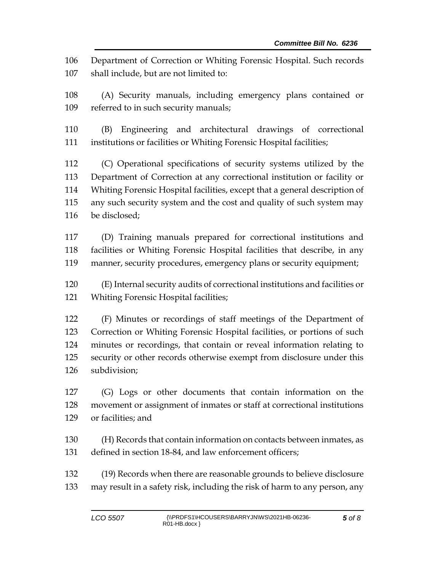Department of Correction or Whiting Forensic Hospital. Such records shall include, but are not limited to:

 (A) Security manuals, including emergency plans contained or referred to in such security manuals;

 (B) Engineering and architectural drawings of correctional institutions or facilities or Whiting Forensic Hospital facilities;

 (C) Operational specifications of security systems utilized by the Department of Correction at any correctional institution or facility or Whiting Forensic Hospital facilities, except that a general description of any such security system and the cost and quality of such system may be disclosed;

 (D) Training manuals prepared for correctional institutions and facilities or Whiting Forensic Hospital facilities that describe, in any manner, security procedures, emergency plans or security equipment;

 (E) Internal security audits of correctional institutions and facilities or Whiting Forensic Hospital facilities;

 (F) Minutes or recordings of staff meetings of the Department of Correction or Whiting Forensic Hospital facilities, or portions of such minutes or recordings, that contain or reveal information relating to security or other records otherwise exempt from disclosure under this subdivision;

 (G) Logs or other documents that contain information on the movement or assignment of inmates or staff at correctional institutions or facilities; and

 (H) Records that contain information on contacts between inmates, as defined in section 18-84, and law enforcement officers;

 (19) Records when there are reasonable grounds to believe disclosure may result in a safety risk, including the risk of harm to any person, any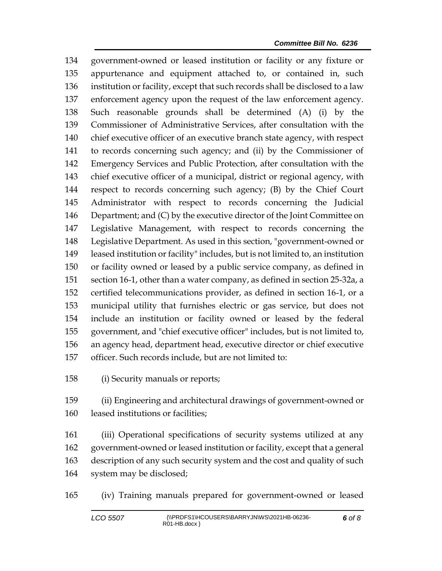government-owned or leased institution or facility or any fixture or appurtenance and equipment attached to, or contained in, such institution or facility, except that such records shall be disclosed to a law enforcement agency upon the request of the law enforcement agency. Such reasonable grounds shall be determined (A) (i) by the Commissioner of Administrative Services, after consultation with the chief executive officer of an executive branch state agency, with respect to records concerning such agency; and (ii) by the Commissioner of Emergency Services and Public Protection, after consultation with the chief executive officer of a municipal, district or regional agency, with respect to records concerning such agency; (B) by the Chief Court Administrator with respect to records concerning the Judicial Department; and (C) by the executive director of the Joint Committee on Legislative Management, with respect to records concerning the Legislative Department. As used in this section, "government-owned or leased institution or facility" includes, but is not limited to, an institution or facility owned or leased by a public service company, as defined in section 16-1, other than a water company, as defined in section 25-32a, a certified telecommunications provider, as defined in section 16-1, or a municipal utility that furnishes electric or gas service, but does not include an institution or facility owned or leased by the federal government, and "chief executive officer" includes, but is not limited to, an agency head, department head, executive director or chief executive officer. Such records include, but are not limited to:

(i) Security manuals or reports;

 (ii) Engineering and architectural drawings of government-owned or leased institutions or facilities;

 (iii) Operational specifications of security systems utilized at any government-owned or leased institution or facility, except that a general description of any such security system and the cost and quality of such system may be disclosed;

(iv) Training manuals prepared for government-owned or leased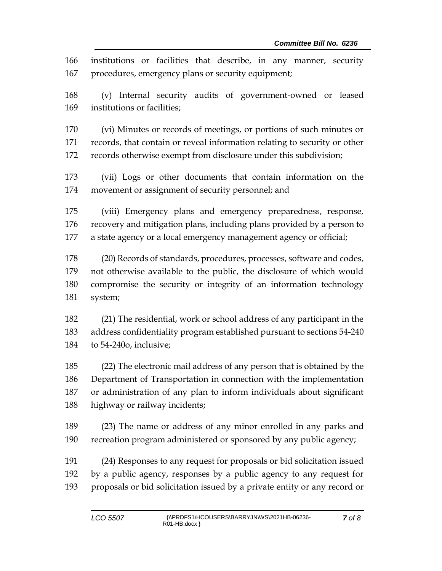institutions or facilities that describe, in any manner, security procedures, emergency plans or security equipment; (v) Internal security audits of government-owned or leased institutions or facilities;

 (vi) Minutes or records of meetings, or portions of such minutes or records, that contain or reveal information relating to security or other records otherwise exempt from disclosure under this subdivision;

 (vii) Logs or other documents that contain information on the movement or assignment of security personnel; and

 (viii) Emergency plans and emergency preparedness, response, recovery and mitigation plans, including plans provided by a person to a state agency or a local emergency management agency or official;

 (20) Records of standards, procedures, processes, software and codes, not otherwise available to the public, the disclosure of which would compromise the security or integrity of an information technology system;

 (21) The residential, work or school address of any participant in the address confidentiality program established pursuant to sections 54-240 to 54-240o, inclusive;

 (22) The electronic mail address of any person that is obtained by the Department of Transportation in connection with the implementation or administration of any plan to inform individuals about significant highway or railway incidents;

 (23) The name or address of any minor enrolled in any parks and recreation program administered or sponsored by any public agency;

 (24) Responses to any request for proposals or bid solicitation issued by a public agency, responses by a public agency to any request for proposals or bid solicitation issued by a private entity or any record or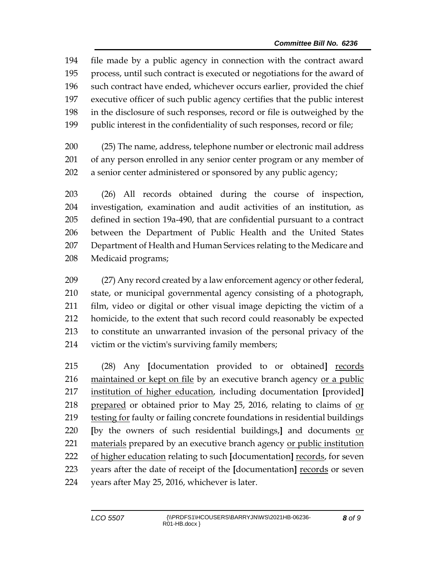file made by a public agency in connection with the contract award process, until such contract is executed or negotiations for the award of such contract have ended, whichever occurs earlier, provided the chief executive officer of such public agency certifies that the public interest in the disclosure of such responses, record or file is outweighed by the public interest in the confidentiality of such responses, record or file;

 (25) The name, address, telephone number or electronic mail address of any person enrolled in any senior center program or any member of a senior center administered or sponsored by any public agency;

 (26) All records obtained during the course of inspection, investigation, examination and audit activities of an institution, as defined in section 19a-490, that are confidential pursuant to a contract between the Department of Public Health and the United States Department of Health and Human Services relating to the Medicare and Medicaid programs;

 (27) Any record created by a law enforcement agency or other federal, state, or municipal governmental agency consisting of a photograph, film, video or digital or other visual image depicting the victim of a homicide, to the extent that such record could reasonably be expected to constitute an unwarranted invasion of the personal privacy of the victim or the victim's surviving family members;

 (28) Any **[**documentation provided to or obtained**]** records maintained or kept on file by an executive branch agency or a public institution of higher education, including documentation **[**provided**]** prepared or obtained prior to May 25, 2016, relating to claims of or testing for faulty or failing concrete foundations in residential buildings **[**by the owners of such residential buildings,**]** and documents or 221 materials prepared by an executive branch agency or public institution of higher education relating to such **[**documentation**]** records, for seven years after the date of receipt of the **[**documentation**]** records or seven years after May 25, 2016, whichever is later.